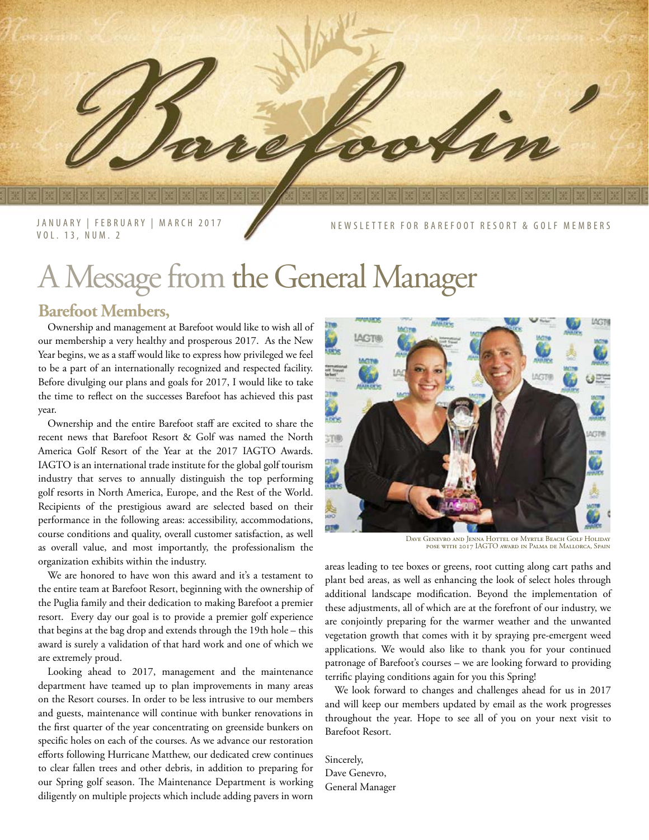JANUARY | FEBRUARY | MARCH 2017 VOL. 13, NUM. 2

SLETTER FOR BAREFOOT RESORT & GOLF MEMBERS

## A Message from the General Manager

#### **Barefoot Members,**

Ownership and management at Barefoot would like to wish all of our membership a very healthy and prosperous 2017. As the New Year begins, we as a staff would like to express how privileged we feel to be a part of an internationally recognized and respected facility. Before divulging our plans and goals for 2017, I would like to take the time to reflect on the successes Barefoot has achieved this past year.

Ownership and the entire Barefoot staff are excited to share the recent news that Barefoot Resort & Golf was named the North America Golf Resort of the Year at the 2017 IAGTO Awards. IAGTO is an international trade institute for the global golf tourism industry that serves to annually distinguish the top performing golf resorts in North America, Europe, and the Rest of the World. Recipients of the prestigious award are selected based on their performance in the following areas: accessibility, accommodations, course conditions and quality, overall customer satisfaction, as well as overall value, and most importantly, the professionalism the organization exhibits within the industry.

We are honored to have won this award and it's a testament to the entire team at Barefoot Resort, beginning with the ownership of the Puglia family and their dedication to making Barefoot a premier resort. Every day our goal is to provide a premier golf experience that begins at the bag drop and extends through the 19th hole – this award is surely a validation of that hard work and one of which we are extremely proud.

Looking ahead to 2017, management and the maintenance department have teamed up to plan improvements in many areas on the Resort courses. In order to be less intrusive to our members and guests, maintenance will continue with bunker renovations in the first quarter of the year concentrating on greenside bunkers on specific holes on each of the courses. As we advance our restoration efforts following Hurricane Matthew, our dedicated crew continues to clear fallen trees and other debris, in addition to preparing for our Spring golf season. The Maintenance Department is working diligently on multiple projects which include adding pavers in worn



Dave Genevro and Jenna Hottel of Myrtle Beach Golf Holiday pose with 2017 IAGTO award in Palma de Mallorca, Spain

areas leading to tee boxes or greens, root cutting along cart paths and plant bed areas, as well as enhancing the look of select holes through additional landscape modification. Beyond the implementation of these adjustments, all of which are at the forefront of our industry, we are conjointly preparing for the warmer weather and the unwanted vegetation growth that comes with it by spraying pre-emergent weed applications. We would also like to thank you for your continued patronage of Barefoot's courses – we are looking forward to providing terrific playing conditions again for you this Spring!

We look forward to changes and challenges ahead for us in 2017 and will keep our members updated by email as the work progresses throughout the year. Hope to see all of you on your next visit to Barefoot Resort.

Sincerely, Dave Genevro, General Manager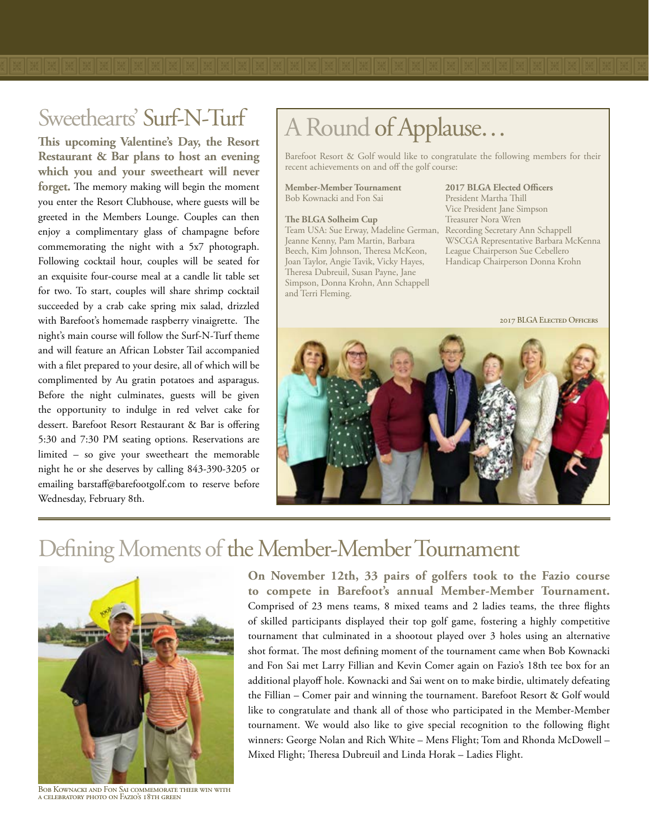**This upcoming Valentine's Day, the Resort Restaurant & Bar plans to host an evening which you and your sweetheart will never forget.** The memory making will begin the moment you enter the Resort Clubhouse, where guests will be greeted in the Members Lounge. Couples can then enjoy a complimentary glass of champagne before commemorating the night with a 5x7 photograph. Following cocktail hour, couples will be seated for an exquisite four-course meal at a candle lit table set for two. To start, couples will share shrimp cocktail succeeded by a crab cake spring mix salad, drizzled with Barefoot's homemade raspberry vinaigrette. The night's main course will follow the Surf-N-Turf theme and will feature an African Lobster Tail accompanied with a filet prepared to your desire, all of which will be complimented by Au gratin potatoes and asparagus. Before the night culminates, guests will be given the opportunity to indulge in red velvet cake for dessert. Barefoot Resort Restaurant & Bar is offering 5:30 and 7:30 PM seating options. Reservations are limited – so give your sweetheart the memorable night he or she deserves by calling 843-390-3205 or emailing barstaff@barefootgolf.com to reserve before Wednesday, February 8th.

# Sweethearts' Surf-N-Turf A Round of Applause...

Barefoot Resort & Golf would like to congratulate the following members for their recent achievements on and off the golf course:

**Member-Member Tournament** Bob Kownacki and Fon Sai

**The BLGA Solheim Cup** Team USA: Sue Erway, Madeline German, Recording Secretary Ann Schappell Jeanne Kenny, Pam Martin, Barbara Beech, Kim Johnson, Theresa McKeon, Joan Taylor, Angie Tavik, Vicky Hayes, Theresa Dubreuil, Susan Payne, Jane Simpson, Donna Krohn, Ann Schappell and Terri Fleming.

#### WSCGA Representative Barbara McKenna League Chairperson Sue Cebellero Handicap Chairperson Donna Krohn

**2017 BLGA Elected Officers** President Martha Thill Vice President Jane Simpson Treasurer Nora Wren





### Defining Moments of the Member-Member Tournament



Bob Kownacki and Fon Sai commemorate their win with a celebratory photo on Fazio's 18th green

**On November 12th, 33 pairs of golfers took to the Fazio course to compete in Barefoot's annual Member-Member Tournament.** Comprised of 23 mens teams, 8 mixed teams and 2 ladies teams, the three flights of skilled participants displayed their top golf game, fostering a highly competitive tournament that culminated in a shootout played over 3 holes using an alternative shot format. The most defining moment of the tournament came when Bob Kownacki and Fon Sai met Larry Fillian and Kevin Comer again on Fazio's 18th tee box for an additional playoff hole. Kownacki and Sai went on to make birdie, ultimately defeating the Fillian – Comer pair and winning the tournament. Barefoot Resort & Golf would like to congratulate and thank all of those who participated in the Member-Member tournament. We would also like to give special recognition to the following flight winners: George Nolan and Rich White – Mens Flight; Tom and Rhonda McDowell – Mixed Flight; Theresa Dubreuil and Linda Horak – Ladies Flight.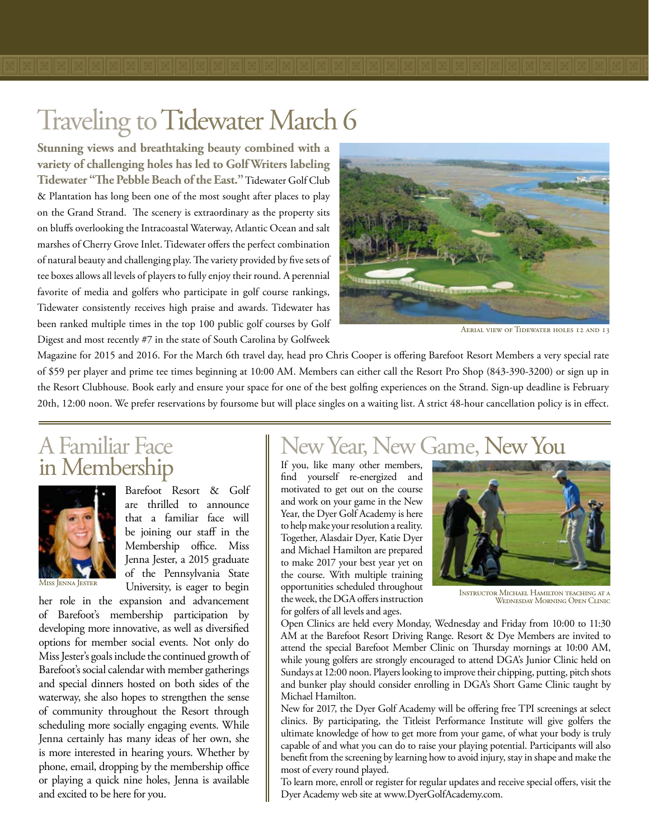### Traveling to Tidewater March 6

**Stunning views and breathtaking beauty combined with a variety of challenging holes has led to Golf Writers labeling Tidewater "The Pebble Beach of the East."** Tidewater Golf Club & Plantation has long been one of the most sought after places to play on the Grand Strand. The scenery is extraordinary as the property sits on bluffs overlooking the Intracoastal Waterway, Atlantic Ocean and salt marshes of Cherry Grove Inlet. Tidewater offers the perfect combination of natural beauty and challenging play. The variety provided by five sets of tee boxes allows all levels of players to fully enjoy their round. A perennial favorite of media and golfers who participate in golf course rankings, Tidewater consistently receives high praise and awards. Tidewater has been ranked multiple times in the top 100 public golf courses by Golf Digest and most recently #7 in the state of South Carolina by Golfweek



Aerial view of Tidewater holes 12 and 13

Magazine for 2015 and 2016. For the March 6th travel day, head pro Chris Cooper is offering Barefoot Resort Members a very special rate of \$59 per player and prime tee times beginning at 10:00 AM. Members can either call the Resort Pro Shop (843-390-3200) or sign up in the Resort Clubhouse. Book early and ensure your space for one of the best golfing experiences on the Strand. Sign-up deadline is February 20th, 12:00 noon. We prefer reservations by foursome but will place singles on a waiting list. A strict 48-hour cancellation policy is in effect.

# A Familiar Face



Barefoot Resort & Golf are thrilled to announce that a familiar face will be joining our staff in the Membership office. Miss Jenna Jester, a 2015 graduate of the Pennsylvania State University, is eager to begin

her role in the expansion and advancement of Barefoot's membership participation by developing more innovative, as well as diversified options for member social events. Not only do Miss Jester's goals include the continued growth of Barefoot's social calendar with member gatherings and special dinners hosted on both sides of the waterway, she also hopes to strengthen the sense of community throughout the Resort through scheduling more socially engaging events. While Jenna certainly has many ideas of her own, she is more interested in hearing yours. Whether by phone, email, dropping by the membership office or playing a quick nine holes, Jenna is available and excited to be here for you.

### New Year, New Game, New You

If you, like many other members, find yourself re-energized and motivated to get out on the course and work on your game in the New Year, the Dyer Golf Academy is here to help make your resolution a reality. Together, Alasdair Dyer, Katie Dyer and Michael Hamilton are prepared to make 2017 your best year yet on the course. With multiple training opportunities scheduled throughout the week, the DGA offers instruction for golfers of all levels and ages.



Instructor Michael Hamilton teaching at a Wednesday Morning Open Clinic

Open Clinics are held every Monday, Wednesday and Friday from 10:00 to 11:30 AM at the Barefoot Resort Driving Range. Resort & Dye Members are invited to attend the special Barefoot Member Clinic on Thursday mornings at 10:00 AM, while young golfers are strongly encouraged to attend DGA's Junior Clinic held on Sundays at 12:00 noon. Players looking to improve their chipping, putting, pitch shots and bunker play should consider enrolling in DGA's Short Game Clinic taught by Michael Hamilton.

New for 2017, the Dyer Golf Academy will be offering free TPI screenings at select clinics. By participating, the Titleist Performance Institute will give golfers the ultimate knowledge of how to get more from your game, of what your body is truly capable of and what you can do to raise your playing potential. Participants will also benefit from the screening by learning how to avoid injury, stay in shape and make the most of every round played.

To learn more, enroll or register for regular updates and receive special offers, visit the Dyer Academy web site at www.DyerGolfAcademy.com.